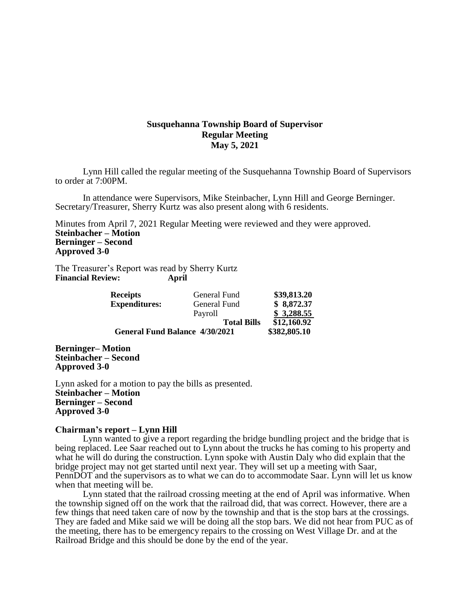# **Susquehanna Township Board of Supervisor Regular Meeting May 5, 2021**

Lynn Hill called the regular meeting of the Susquehanna Township Board of Supervisors to order at 7:00PM.

In attendance were Supervisors, Mike Steinbacher, Lynn Hill and George Berninger. Secretary/Treasurer, Sherry Kurtz was also present along with 6 residents.

Minutes from April 7, 2021 Regular Meeting were reviewed and they were approved. **Steinbacher – Motion Berninger – Second Approved 3-0**

The Treasurer's Report was read by Sherry Kurtz **Financial Review: April**

| <b>Receipts</b>                       | General Fund       | \$39,813.20  |
|---------------------------------------|--------------------|--------------|
| <b>Expenditures:</b>                  | General Fund       | \$8,872.37   |
|                                       | Payroll            | \$3,288.55   |
|                                       | <b>Total Bills</b> | \$12,160.92  |
| <b>General Fund Balance 4/30/2021</b> |                    | \$382,805.10 |

**Berninger– Motion Steinbacher – Second Approved 3-0**

Lynn asked for a motion to pay the bills as presented. **Steinbacher – Motion Berninger – Second Approved 3-0**

### **Chairman's report – Lynn Hill**

Lynn wanted to give a report regarding the bridge bundling project and the bridge that is being replaced. Lee Saar reached out to Lynn about the trucks he has coming to his property and what he will do during the construction. Lynn spoke with Austin Daly who did explain that the bridge project may not get started until next year. They will set up a meeting with Saar, PennDOT and the supervisors as to what we can do to accommodate Saar. Lynn will let us know when that meeting will be.

Lynn stated that the railroad crossing meeting at the end of April was informative. When the township signed off on the work that the railroad did, that was correct. However, there are a few things that need taken care of now by the township and that is the stop bars at the crossings. They are faded and Mike said we will be doing all the stop bars. We did not hear from PUC as of the meeting, there has to be emergency repairs to the crossing on West Village Dr. and at the Railroad Bridge and this should be done by the end of the year.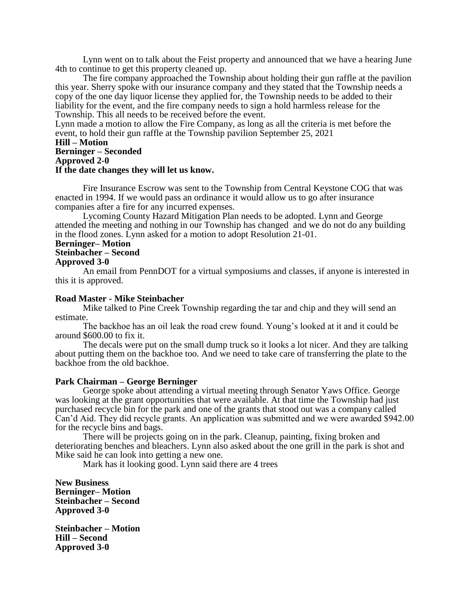Lynn went on to talk about the Feist property and announced that we have a hearing June 4th to continue to get this property cleaned up.

The fire company approached the Township about holding their gun raffle at the pavilion this year. Sherry spoke with our insurance company and they stated that the Township needs a copy of the one day liquor license they applied for, the Township needs to be added to their liability for the event, and the fire company needs to sign a hold harmless release for the Township. This all needs to be received before the event.

Lynn made a motion to allow the Fire Company, as long as all the criteria is met before the event, to hold their gun raffle at the Township pavilion September 25, 2021

# **Hill – Motion**

# **Berninger – Seconded**

**Approved 2-0**

# **If the date changes they will let us know.**

Fire Insurance Escrow was sent to the Township from Central Keystone COG that was enacted in 1994. If we would pass an ordinance it would allow us to go after insurance companies after a fire for any incurred expenses.

Lycoming County Hazard Mitigation Plan needs to be adopted. Lynn and George attended the meeting and nothing in our Township has changed and we do not do any building in the flood zones. Lynn asked for a motion to adopt Resolution 21-01.

#### **Berninger– Motion Steinbacher – Second**

#### **Approved 3-0**

An email from PennDOT for a virtual symposiums and classes, if anyone is interested in this it is approved.

### **Road Master - Mike Steinbacher**

Mike talked to Pine Creek Township regarding the tar and chip and they will send an estimate.

The backhoe has an oil leak the road crew found. Young's looked at it and it could be around \$600.00 to fix it.

The decals were put on the small dump truck so it looks a lot nicer. And they are talking about putting them on the backhoe too. And we need to take care of transferring the plate to the backhoe from the old backhoe.

#### **Park Chairman – George Berninger**

George spoke about attending a virtual meeting through Senator Yaws Office. George was looking at the grant opportunities that were available. At that time the Township had just purchased recycle bin for the park and one of the grants that stood out was a company called Can'd Aid. They did recycle grants. An application was submitted and we were awarded \$942.00 for the recycle bins and bags.

There will be projects going on in the park. Cleanup, painting, fixing broken and deteriorating benches and bleachers. Lynn also asked about the one grill in the park is shot and Mike said he can look into getting a new one.

Mark has it looking good. Lynn said there are 4 trees

**New Business Berninger– Motion Steinbacher – Second Approved 3-0**

**Steinbacher – Motion Hill – Second Approved 3-0**